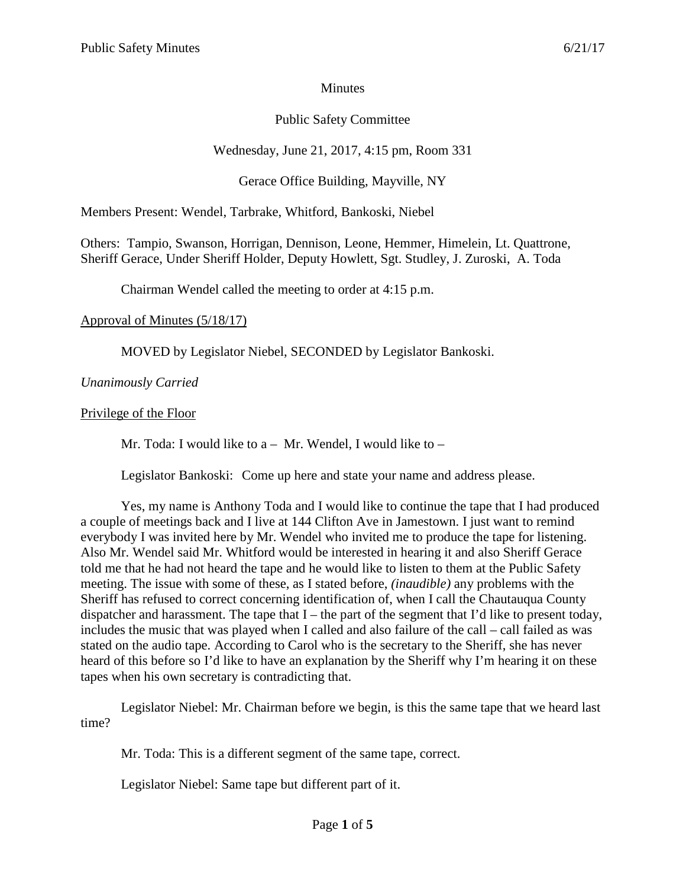### **Minutes**

# Public Safety Committee

# Wednesday, June 21, 2017, 4:15 pm, Room 331

# Gerace Office Building, Mayville, NY

Members Present: Wendel, Tarbrake, Whitford, Bankoski, Niebel

Others: Tampio, Swanson, Horrigan, Dennison, Leone, Hemmer, Himelein, Lt. Quattrone, Sheriff Gerace, Under Sheriff Holder, Deputy Howlett, Sgt. Studley, J. Zuroski, A. Toda

Chairman Wendel called the meeting to order at 4:15 p.m.

### Approval of Minutes (5/18/17)

MOVED by Legislator Niebel, SECONDED by Legislator Bankoski.

## *Unanimously Carried*

## Privilege of the Floor

Mr. Toda: I would like to  $a - Mr$ . Wendel, I would like to  $-$ 

Legislator Bankoski: Come up here and state your name and address please.

Yes, my name is Anthony Toda and I would like to continue the tape that I had produced a couple of meetings back and I live at 144 Clifton Ave in Jamestown. I just want to remind everybody I was invited here by Mr. Wendel who invited me to produce the tape for listening. Also Mr. Wendel said Mr. Whitford would be interested in hearing it and also Sheriff Gerace told me that he had not heard the tape and he would like to listen to them at the Public Safety meeting. The issue with some of these, as I stated before, *(inaudible)* any problems with the Sheriff has refused to correct concerning identification of, when I call the Chautauqua County dispatcher and harassment. The tape that  $I$  – the part of the segment that I'd like to present today, includes the music that was played when I called and also failure of the call – call failed as was stated on the audio tape. According to Carol who is the secretary to the Sheriff, she has never heard of this before so I'd like to have an explanation by the Sheriff why I'm hearing it on these tapes when his own secretary is contradicting that.

Legislator Niebel: Mr. Chairman before we begin, is this the same tape that we heard last time?

Mr. Toda: This is a different segment of the same tape, correct.

Legislator Niebel: Same tape but different part of it.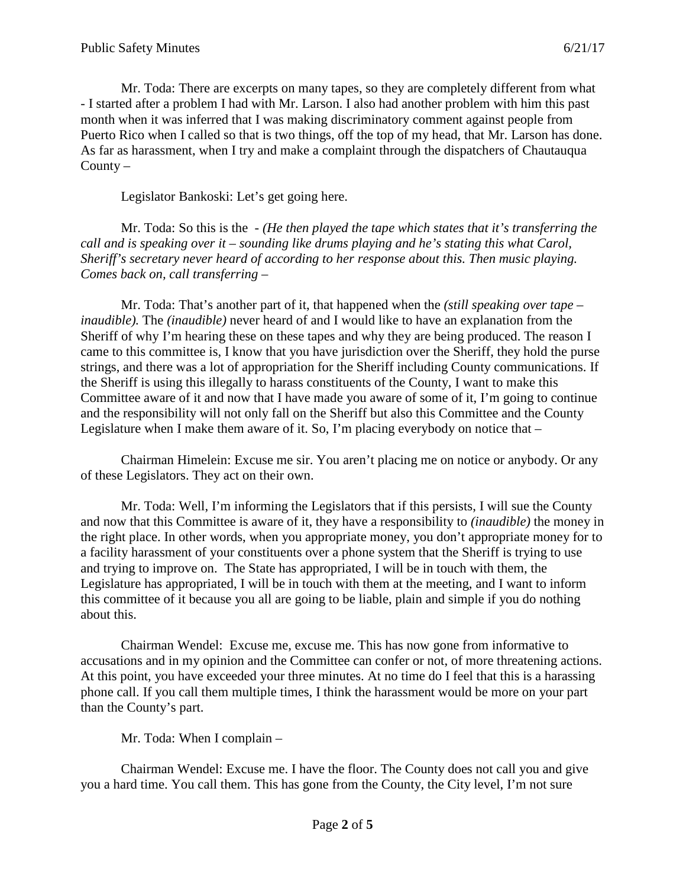Mr. Toda: There are excerpts on many tapes, so they are completely different from what - I started after a problem I had with Mr. Larson. I also had another problem with him this past month when it was inferred that I was making discriminatory comment against people from Puerto Rico when I called so that is two things, off the top of my head, that Mr. Larson has done. As far as harassment, when I try and make a complaint through the dispatchers of Chautauqua County –

Legislator Bankoski: Let's get going here.

Mr. Toda: So this is the - *(He then played the tape which states that it's transferring the call and is speaking over it – sounding like drums playing and he's stating this what Carol, Sheriff's secretary never heard of according to her response about this. Then music playing. Comes back on, call transferring –*

Mr. Toda: That's another part of it, that happened when the *(still speaking over tape – inaudible).* The *(inaudible)* never heard of and I would like to have an explanation from the Sheriff of why I'm hearing these on these tapes and why they are being produced. The reason I came to this committee is, I know that you have jurisdiction over the Sheriff, they hold the purse strings, and there was a lot of appropriation for the Sheriff including County communications. If the Sheriff is using this illegally to harass constituents of the County, I want to make this Committee aware of it and now that I have made you aware of some of it, I'm going to continue and the responsibility will not only fall on the Sheriff but also this Committee and the County Legislature when I make them aware of it. So, I'm placing everybody on notice that –

Chairman Himelein: Excuse me sir. You aren't placing me on notice or anybody. Or any of these Legislators. They act on their own.

Mr. Toda: Well, I'm informing the Legislators that if this persists, I will sue the County and now that this Committee is aware of it, they have a responsibility to *(inaudible)* the money in the right place. In other words, when you appropriate money, you don't appropriate money for to a facility harassment of your constituents over a phone system that the Sheriff is trying to use and trying to improve on. The State has appropriated, I will be in touch with them, the Legislature has appropriated, I will be in touch with them at the meeting, and I want to inform this committee of it because you all are going to be liable, plain and simple if you do nothing about this.

Chairman Wendel: Excuse me, excuse me. This has now gone from informative to accusations and in my opinion and the Committee can confer or not, of more threatening actions. At this point, you have exceeded your three minutes. At no time do I feel that this is a harassing phone call. If you call them multiple times, I think the harassment would be more on your part than the County's part.

Mr. Toda: When I complain –

Chairman Wendel: Excuse me. I have the floor. The County does not call you and give you a hard time. You call them. This has gone from the County, the City level, I'm not sure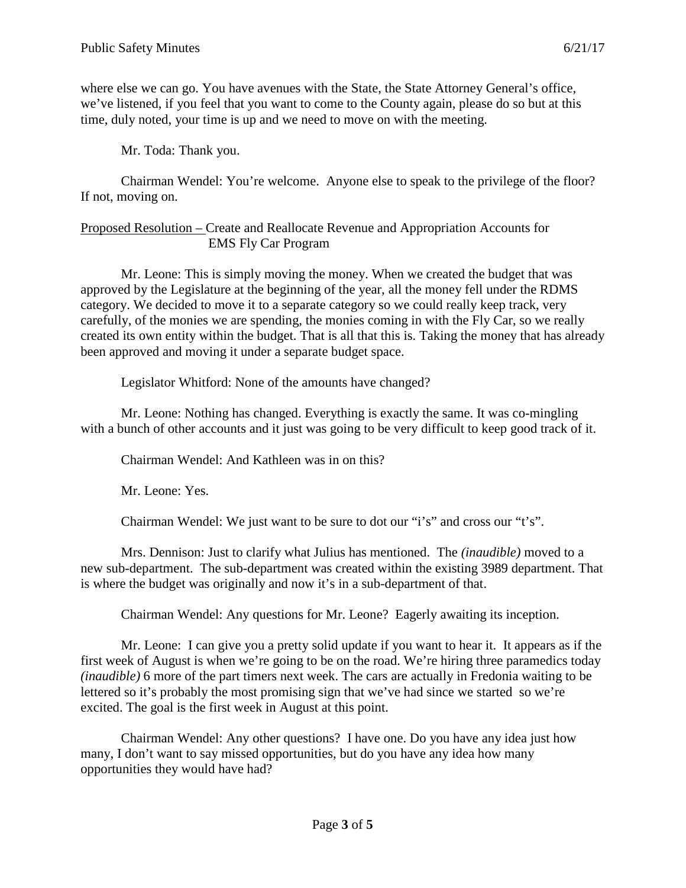where else we can go. You have avenues with the State, the State Attorney General's office, we've listened, if you feel that you want to come to the County again, please do so but at this time, duly noted, your time is up and we need to move on with the meeting.

Mr. Toda: Thank you.

Chairman Wendel: You're welcome. Anyone else to speak to the privilege of the floor? If not, moving on.

Proposed Resolution – Create and Reallocate Revenue and Appropriation Accounts for EMS Fly Car Program

Mr. Leone: This is simply moving the money. When we created the budget that was approved by the Legislature at the beginning of the year, all the money fell under the RDMS category. We decided to move it to a separate category so we could really keep track, very carefully, of the monies we are spending, the monies coming in with the Fly Car, so we really created its own entity within the budget. That is all that this is. Taking the money that has already been approved and moving it under a separate budget space.

Legislator Whitford: None of the amounts have changed?

Mr. Leone: Nothing has changed. Everything is exactly the same. It was co-mingling with a bunch of other accounts and it just was going to be very difficult to keep good track of it.

Chairman Wendel: And Kathleen was in on this?

Mr. Leone: Yes.

Chairman Wendel: We just want to be sure to dot our "i's" and cross our "t's".

Mrs. Dennison: Just to clarify what Julius has mentioned. The *(inaudible)* moved to a new sub-department. The sub-department was created within the existing 3989 department. That is where the budget was originally and now it's in a sub-department of that.

Chairman Wendel: Any questions for Mr. Leone? Eagerly awaiting its inception.

Mr. Leone: I can give you a pretty solid update if you want to hear it. It appears as if the first week of August is when we're going to be on the road. We're hiring three paramedics today *(inaudible)* 6 more of the part timers next week. The cars are actually in Fredonia waiting to be lettered so it's probably the most promising sign that we've had since we started so we're excited. The goal is the first week in August at this point.

Chairman Wendel: Any other questions? I have one. Do you have any idea just how many, I don't want to say missed opportunities, but do you have any idea how many opportunities they would have had?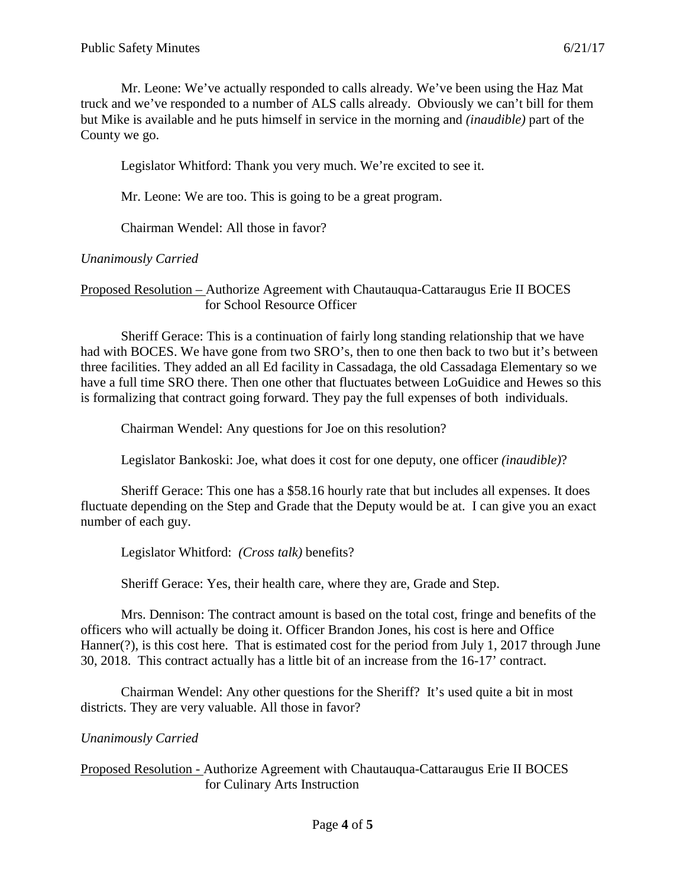Mr. Leone: We've actually responded to calls already. We've been using the Haz Mat truck and we've responded to a number of ALS calls already. Obviously we can't bill for them but Mike is available and he puts himself in service in the morning and *(inaudible)* part of the County we go.

Legislator Whitford: Thank you very much. We're excited to see it.

Mr. Leone: We are too. This is going to be a great program.

Chairman Wendel: All those in favor?

#### *Unanimously Carried*

Proposed Resolution – Authorize Agreement with Chautauqua-Cattaraugus Erie II BOCES for School Resource Officer

Sheriff Gerace: This is a continuation of fairly long standing relationship that we have had with BOCES. We have gone from two SRO's, then to one then back to two but it's between three facilities. They added an all Ed facility in Cassadaga, the old Cassadaga Elementary so we have a full time SRO there. Then one other that fluctuates between LoGuidice and Hewes so this is formalizing that contract going forward. They pay the full expenses of both individuals.

Chairman Wendel: Any questions for Joe on this resolution?

Legislator Bankoski: Joe, what does it cost for one deputy, one officer *(inaudible)*?

Sheriff Gerace: This one has a \$58.16 hourly rate that but includes all expenses. It does fluctuate depending on the Step and Grade that the Deputy would be at. I can give you an exact number of each guy.

Legislator Whitford: *(Cross talk)* benefits?

Sheriff Gerace: Yes, their health care, where they are, Grade and Step.

Mrs. Dennison: The contract amount is based on the total cost, fringe and benefits of the officers who will actually be doing it. Officer Brandon Jones, his cost is here and Office Hanner(?), is this cost here. That is estimated cost for the period from July 1, 2017 through June 30, 2018. This contract actually has a little bit of an increase from the 16-17' contract.

Chairman Wendel: Any other questions for the Sheriff? It's used quite a bit in most districts. They are very valuable. All those in favor?

#### *Unanimously Carried*

Proposed Resolution - Authorize Agreement with Chautauqua-Cattaraugus Erie II BOCES for Culinary Arts Instruction